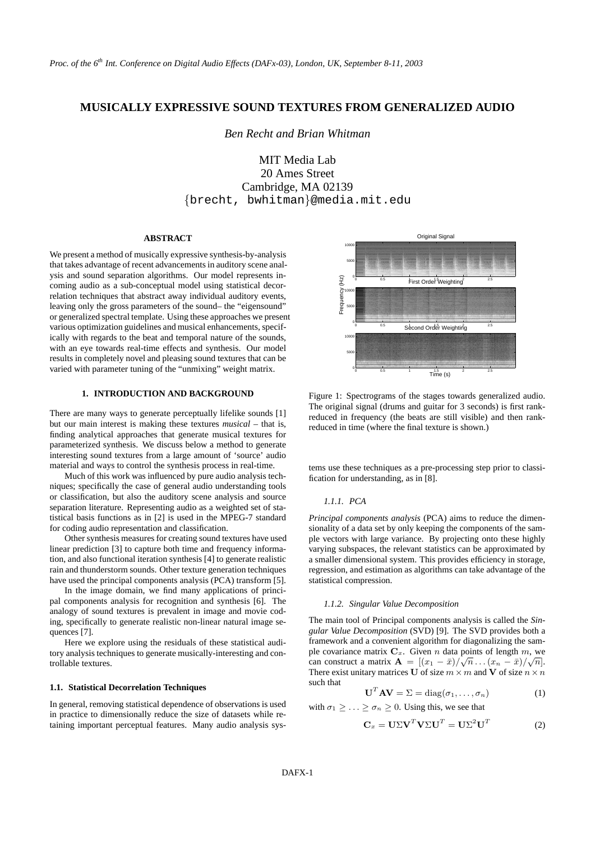# **MUSICALLY EXPRESSIVE SOUND TEXTURES FROM GENERALIZED AUDIO**

*Ben Recht and Brian Whitman*

MIT Media Lab 20 Ames Street Cambridge, MA 02139 {brecht, bwhitman}@media.mit.edu

#### **ABSTRACT**

We present a method of musically expressive synthesis-by-analysis that takes advantage of recent advancements in auditory scene analysis and sound separation algorithms. Our model represents incoming audio as a sub-conceptual model using statistical decorrelation techniques that abstract away individual auditory events, leaving only the gross parameters of the sound– the "eigensound" or generalized spectral template. Using these approaches we present various optimization guidelines and musical enhancements, specifically with regards to the beat and temporal nature of the sounds, with an eye towards real-time effects and synthesis. Our model results in completely novel and pleasing sound textures that can be varied with parameter tuning of the "unmixing" weight matrix.

### **1. INTRODUCTION AND BACKGROUND**

There are many ways to generate perceptually lifelike sounds [1] but our main interest is making these textures *musical* – that is, finding analytical approaches that generate musical textures for parameterized synthesis. We discuss below a method to generate interesting sound textures from a large amount of 'source' audio material and ways to control the synthesis process in real-time.

Much of this work was influenced by pure audio analysis techniques; specifically the case of general audio understanding tools or classification, but also the auditory scene analysis and source separation literature. Representing audio as a weighted set of statistical basis functions as in [2] is used in the MPEG-7 standard for coding audio representation and classification.

Other synthesis measures for creating sound textures have used linear prediction [3] to capture both time and frequency information, and also functional iteration synthesis [4] to generate realistic rain and thunderstorm sounds. Other texture generation techniques have used the principal components analysis (PCA) transform [5].

In the image domain, we find many applications of principal components analysis for recognition and synthesis [6]. The analogy of sound textures is prevalent in image and movie coding, specifically to generate realistic non-linear natural image sequences [7].

Here we explore using the residuals of these statistical auditory analysis techniques to generate musically-interesting and controllable textures.

# **1.1. Statistical Decorrelation Techniques**

In general, removing statistical dependence of observations is used in practice to dimensionally reduce the size of datasets while retaining important perceptual features. Many audio analysis sys-



Figure 1: Spectrograms of the stages towards generalized audio. The original signal (drums and guitar for 3 seconds) is first rankreduced in frequency (the beats are still visible) and then rankreduced in time (where the final texture is shown.)

tems use these techniques as a pre-processing step prior to classification for understanding, as in [8].

### *1.1.1. PCA*

*Principal components analysis* (PCA) aims to reduce the dimensionality of a data set by only keeping the components of the sample vectors with large variance. By projecting onto these highly varying subspaces, the relevant statistics can be approximated by a smaller dimensional system. This provides efficiency in storage, regression, and estimation as algorithms can take advantage of the statistical compression.

#### *1.1.2. Singular Value Decomposition*

The main tool of Principal components analysis is called the *Singular Value Decomposition* (SVD) [9]. The SVD provides both a framework and a convenient algorithm for diagonalizing the sample covariance matrix  $\mathbf{C}_x$ . Given *n* data points of length *m*, we can construct a matrix  $\mathbf{A} = [(x_1 - \bar{x})/\sqrt{n} \dots (x_n - \bar{x})/\sqrt{n}].$ There exist unitary matrices U of size  $m \times m$  and V of size  $n \times n$ such that

$$
\mathbf{U}^T \mathbf{A} \mathbf{V} = \Sigma = \text{diag}(\sigma_1, \dots, \sigma_n)
$$
 (1)

with  $\sigma_1 \geq \ldots \geq \sigma_n \geq 0$ . Using this, we see that

$$
\mathbf{C}_x = \mathbf{U} \Sigma \mathbf{V}^T \mathbf{V} \Sigma \mathbf{U}^T = \mathbf{U} \Sigma^2 \mathbf{U}^T \tag{2}
$$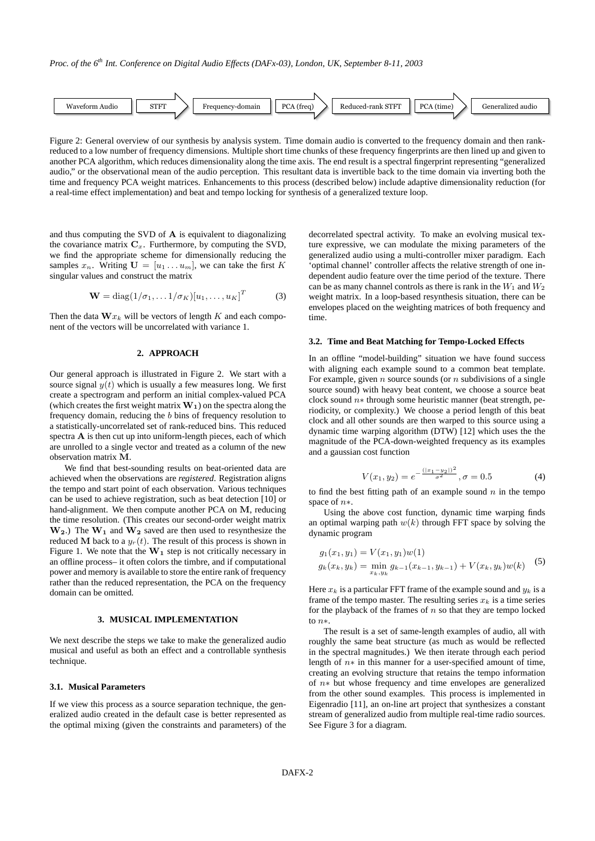

Figure 2: General overview of our synthesis by analysis system. Time domain audio is converted to the frequency domain and then rankreduced to a low number of frequency dimensions. Multiple short time chunks of these frequency fingerprints are then lined up and given to another PCA algorithm, which reduces dimensionality along the time axis. The end result is a spectral fingerprint representing "generalized audio," or the observational mean of the audio perception. This resultant data is invertible back to the time domain via inverting both the time and frequency PCA weight matrices. Enhancements to this process (described below) include adaptive dimensionality reduction (for a real-time effect implementation) and beat and tempo locking for synthesis of a generalized texture loop.

and thus computing the SVD of A is equivalent to diagonalizing the covariance matrix  $C_x$ . Furthermore, by computing the SVD, we find the appropriate scheme for dimensionally reducing the samples  $x_n$ . Writing  $\mathbf{U} = [u_1 \dots u_m]$ , we can take the first K singular values and construct the matrix

$$
\mathbf{W} = \text{diag}(1/\sigma_1, \dots 1/\sigma_K)[u_1, \dots, u_K]^T
$$
 (3)

Then the data  $\mathbf{W} x_k$  will be vectors of length K and each component of the vectors will be uncorrelated with variance 1.

# **2. APPROACH**

Our general approach is illustrated in Figure 2. We start with a source signal  $y(t)$  which is usually a few measures long. We first create a spectrogram and perform an initial complex-valued PCA (which creates the first weight matrix  $W_1$ ) on the spectra along the frequency domain, reducing the b bins of frequency resolution to a statistically-uncorrelated set of rank-reduced bins. This reduced spectra A is then cut up into uniform-length pieces, each of which are unrolled to a single vector and treated as a column of the new observation matrix M.

We find that best-sounding results on beat-oriented data are achieved when the observations are *registered*. Registration aligns the tempo and start point of each observation. Various techniques can be used to achieve registration, such as beat detection [10] or hand-alignment. We then compute another PCA on M, reducing the time resolution. (This creates our second-order weight matrix  $W_2$ .) The  $W_1$  and  $W_2$  saved are then used to resynthesize the reduced M back to a  $y_r(t)$ . The result of this process is shown in Figure 1. We note that the  $W_1$  step is not critically necessary in an offline process– it often colors the timbre, and if computational power and memory is available to store the entire rank of frequency rather than the reduced representation, the PCA on the frequency domain can be omitted.

# **3. MUSICAL IMPLEMENTATION**

We next describe the steps we take to make the generalized audio musical and useful as both an effect and a controllable synthesis technique.

# **3.1. Musical Parameters**

If we view this process as a source separation technique, the generalized audio created in the default case is better represented as the optimal mixing (given the constraints and parameters) of the

decorrelated spectral activity. To make an evolving musical texture expressive, we can modulate the mixing parameters of the generalized audio using a multi-controller mixer paradigm. Each 'optimal channel' controller affects the relative strength of one independent audio feature over the time period of the texture. There can be as many channel controls as there is rank in the  $W_1$  and  $W_2$ weight matrix. In a loop-based resynthesis situation, there can be envelopes placed on the weighting matrices of both frequency and time.

#### **3.2. Time and Beat Matching for Tempo-Locked Effects**

In an offline "model-building" situation we have found success with aligning each example sound to a common beat template. For example, given *n* source sounds (or *n* subdivisions of a single source sound) with heavy beat content, we choose a source beat clock sound  $n*$  through some heuristic manner (beat strength, periodicity, or complexity.) We choose a period length of this beat clock and all other sounds are then warped to this source using a dynamic time warping algorithm (DTW) [12] which uses the the magnitude of the PCA-down-weighted frequency as its examples and a gaussian cost function

$$
V(x_1, y_2) = e^{-\frac{(|x_1 - y_2|)^2}{\sigma^2}}, \sigma = 0.5
$$
 (4)

to find the best fitting path of an example sound  $n$  in the tempo space of n∗.

Using the above cost function, dynamic time warping finds an optimal warping path  $w(k)$  through FFT space by solving the dynamic program

$$
g_1(x_1, y_1) = V(x_1, y_1)w(1)
$$
  
\n
$$
g_k(x_k, y_k) = \min_{x_k, y_k} g_{k-1}(x_{k-1}, y_{k-1}) + V(x_k, y_k)w(k)
$$
\n(5)

Here  $x_k$  is a particular FFT frame of the example sound and  $y_k$  is a frame of the tempo master. The resulting series  $x_k$  is a time series for the playback of the frames of  $n$  so that they are tempo locked to n∗.

The result is a set of same-length examples of audio, all with roughly the same beat structure (as much as would be reflected in the spectral magnitudes.) We then iterate through each period length of n∗ in this manner for a user-specified amount of time, creating an evolving structure that retains the tempo information of n∗ but whose frequency and time envelopes are generalized from the other sound examples. This process is implemented in Eigenradio [11], an on-line art project that synthesizes a constant stream of generalized audio from multiple real-time radio sources. See Figure 3 for a diagram.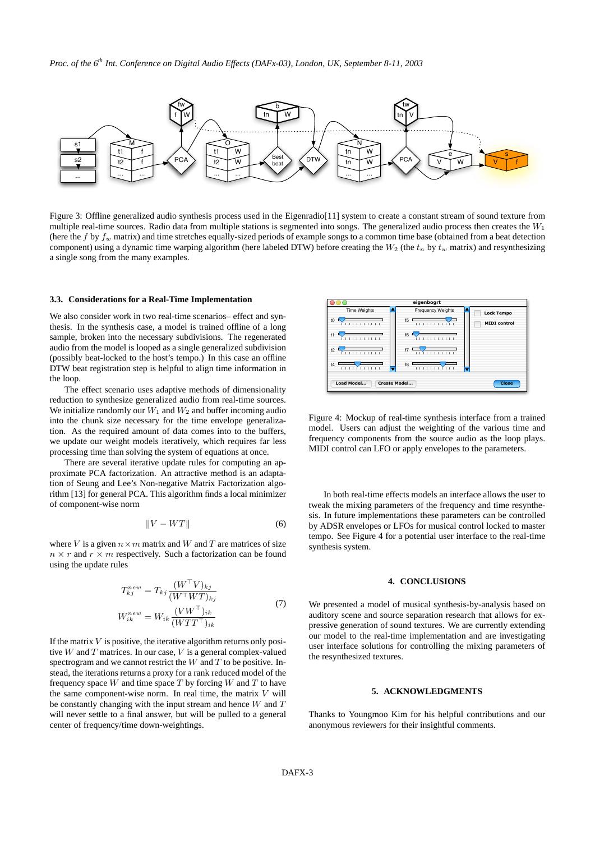*Proc. of the 6th Int. Conference on Digital Audio Effects (DAFx-03), London, UK, September 8-11, 2003*



Figure 3: Offline generalized audio synthesis process used in the Eigenradio<sup>[11]</sup> system to create a constant stream of sound texture from multiple real-time sources. Radio data from multiple stations is segmented into songs. The generalized audio process then creates the  $W_1$ (here the f by  $f_w$  matrix) and time stretches equally-sized periods of example songs to a common time base (obtained from a beat detection component) using a dynamic time warping algorithm (here labeled DTW) before creating the  $W_2$  (the  $t_n$  by  $t_w$  matrix) and resynthesizing a single song from the many examples.

#### **3.3. Considerations for a Real-Time Implementation**

We also consider work in two real-time scenarios– effect and synthesis. In the synthesis case, a model is trained offline of a long sample, broken into the necessary subdivisions. The regenerated audio from the model is looped as a single generalized subdivision (possibly beat-locked to the host's tempo.) In this case an offline DTW beat registration step is helpful to align time information in the loop.

The effect scenario uses adaptive methods of dimensionality reduction to synthesize generalized audio from real-time sources. We initialize randomly our  $W_1$  and  $W_2$  and buffer incoming audio into the chunk size necessary for the time envelope generalization. As the required amount of data comes into to the buffers, we update our weight models iteratively, which requires far less processing time than solving the system of equations at once.

There are several iterative update rules for computing an approximate PCA factorization. An attractive method is an adaptation of Seung and Lee's Non-negative Matrix Factorization algorithm [13] for general PCA. This algorithm finds a local minimizer of component-wise norm

$$
||V - WT|| \tag{6}
$$

where V is a given  $n \times m$  matrix and W and T are matrices of size  $n \times r$  and  $r \times m$  respectively. Such a factorization can be found using the update rules

$$
T_{kj}^{new} = T_{kj} \frac{(W^{\top}V)_{kj}}{(W^{\top}WT)_{kj}}
$$
  
\n
$$
W_{ik}^{new} = W_{ik} \frac{(VW^{\top})_{ik}}{(WTT^{\top})_{ik}}
$$
\n(7)

If the matrix  $V$  is positive, the iterative algorithm returns only positive  $W$  and  $T$  matrices. In our case,  $V$  is a general complex-valued spectrogram and we cannot restrict the  $W$  and  $T$  to be positive. Instead, the iterations returns a proxy for a rank reduced model of the frequency space  $W$  and time space  $T$  by forcing  $W$  and  $T$  to have the same component-wise norm. In real time, the matrix  $V$  will be constantly changing with the input stream and hence  $W$  and  $T$ will never settle to a final answer, but will be pulled to a general center of frequency/time down-weightings.



Figure 4: Mockup of real-time synthesis interface from a trained model. Users can adjust the weighting of the various time and frequency components from the source audio as the loop plays. MIDI control can LFO or apply envelopes to the parameters.

In both real-time effects models an interface allows the user to tweak the mixing parameters of the frequency and time resynthesis. In future implementations these parameters can be controlled by ADSR envelopes or LFOs for musical control locked to master tempo. See Figure 4 for a potential user interface to the real-time synthesis system.

# **4. CONCLUSIONS**

We presented a model of musical synthesis-by-analysis based on auditory scene and source separation research that allows for expressive generation of sound textures. We are currently extending our model to the real-time implementation and are investigating user interface solutions for controlling the mixing parameters of the resynthesized textures.

#### **5. ACKNOWLEDGMENTS**

Thanks to Youngmoo Kim for his helpful contributions and our anonymous reviewers for their insightful comments.